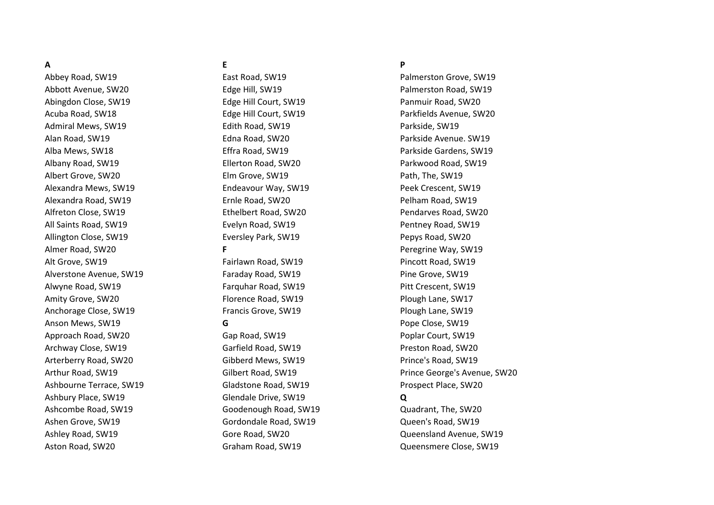Abbott Avenue, SW20 Edge Hill, SW19 Palmerston Road, SW19 Abingdon Close, SW19 Edge Hill Court, SW19 Panmuir Road, SW20 Acuba Road, SW18 **Edge Hill Court, SW19** Parkfields Avenue, SW20 Admiral Mews, SW19 **Edith Road, SW19** Parkside, SW19 Alan Road, SW19 Edna Road, SW20 Parkside Avenue. SW19 Alba Mews, SW18 Effra Road, SW19 Parkside Gardens, SW19 Albany Road, SW19 **Ellerton Road, SW20** Parkwood Road, SW19 Albert Grove, SW20 Elm Grove, SW19 Path, The, SW19 Alexandra Mews, SW19 Endeavour Way, SW19 Peek Crescent, SW19 Alexandra Road, SW19 Ernle Road, SW20 Pelham Road, SW19 Alfreton Close, SW19 **Ethelbert Road, SW20** Pendarves Road, SW20 All Saints Road, SW19 **Evelyn Road, SW19** Pentney Road, SW19 Allington Close, SW19 **Eversley Park, SW19** Pepys Road, SW20 Almer Road, SW20 **F** Peregrine Way, SW19 Alt Grove, SW19 Fairlawn Road, SW19 Pincott Road, SW19 Alverstone Avenue, SW19 **Faraday Road, SW19** Pine Grove, SW19 Alwyne Road, SW19 **Farquhar Road, SW19** Pitt Crescent, SW19 Amity Grove, SW20 **Florence Road, SW19** Plough Lane, SW17 Anchorage Close, SW19 Francis Grove, SW19 Plough Lane, SW19 Anson Mews, SW19 **G G G Pope Close, SW19** Approach Road, SW20 Gap Road, SW19 Poplar Court, SW19 Archway Close, SW19 **Carrield Road, SW19** Carrield Road, SW19 **Preston Road, SW20** Arterberry Road, SW20 **Gibberd Mews, SW19** Prince's Road, SW19 Ashbourne Terrace, SW19 Gladstone Road, SW19 Prospect Place, SW20 Ashbury Place, SW19 Glendale Drive, SW19 **Q** Ashcombe Road, SW19 Goodenough Road, SW19 Quadrant, The, SW20 Ashen Grove, SW19 **Gordondale Road, SW19** Gordondale Road, SW19 **Queen's Road, SW19** 

# **A E P**

Abbey Road, SW19 **East Road, SW19** East Road, SW19 **Palmerston Grove, SW19** Arthur Road, SW19 Gilbert Road, SW19 Prince George's Avenue, SW20

Ashley Road, SW19 Gore Road, SW20 Queensland Avenue, SW19 Aston Road, SW20 Graham Road, SW19 Queensmere Close, SW19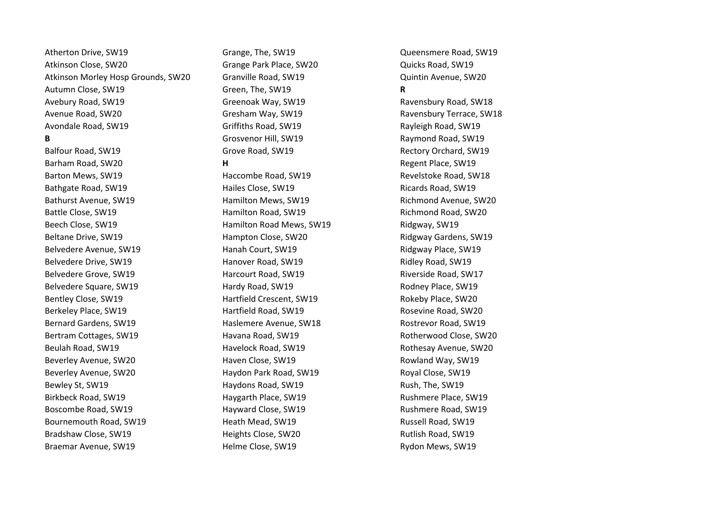Atherton Drive, SW19 **Grange, The, SW19** Grange, The, SW19 **Queensmere Road, SW19** Atkinson Close, SW20 **Grange Park Place, SW20** Grange Park Place, SW20 **Quicks Road, SW19** Atkinson Morley Hosp Grounds, SW20 Granville Road, SW19 Quintin Avenue, SW20 Autumn Close, SW19 Green, The, SW19 **R** Avebury Road, SW19 Greenoak Way, SW19 Ravensbury Road, SW18 Avenue Road, SW20 **Gresham Way, SW19** Ravensbury Terrace, SW18 Avondale Road, SW19 **Griffiths Road, SW19** Rayleigh Road, SW19

Barham Road, SW20 **H H** Regent Place, SW19 Barton Mews, SW19 Haccombe Road, SW19 Revelstoke Road, SW18

**B** Grosvenor Hill, SW19 Raymond Road, SW19 Balfour Road, SW19 Grove Road, SW19 Rectory Orchard, SW19

Bathgate Road, SW19 **Face Close, SW19** Hailes Close, SW19 **Ricards Road, SW19** Ricards Road, SW19 Bathurst Avenue, SW19 **Hamilton Mews, SW19** Richmond Avenue, SW20 Battle Close, SW19 **Hamilton Road, SW19** Richmond Road, SW20 Beech Close, SW19 Hamilton Road Mews, SW19 Ridgway, SW19 Beltane Drive, SW19 **Hampton Close, SW20** Ridgway Gardens, SW19 Belvedere Avenue, SW19 Hanah Court, SW19 Ridgway Place, SW19 Belvedere Drive, SW19 **Hanover Road, SW19** Ridley Road, SW19 Belvedere Grove, SW19 Harcourt Road, SW19 Riverside Road, SW17 Belvedere Square, SW19 **Hardy Road, SW19** Hardy Road, SW19 **Rodney Place, SW19** Bentley Close, SW19 **Hartfield Crescent, SW19** Rokeby Place, SW20 Berkeley Place, SW19 Hartfield Road, SW19 Rosevine Road, SW20 Bernard Gardens, SW19 Haslemere Avenue, SW18 Rostrevor Road, SW19 Bertram Cottages, SW19 **Havana Road, SW19** Rotherwood Close, SW20 Beulah Road, SW19 Havelock Road, SW19 Rothesay Avenue, SW20 Beverley Avenue, SW20 **Racing Close, SW19** Rowland Way, SW19 Rowland Way, SW19 Beverley Avenue, SW20 **Haydon Park Road, SW19** Royal Close, SW19 Bewley St, SW19 **Haydons Road, SW19** Rush, The, SW19 Birkbeck Road, SW19 **Face, SW19** Haygarth Place, SW19 **Rushmere Place, SW19** Boscombe Road, SW19 **Hayward Close, SW19** Rushmere Road, SW19 Bournemouth Road, SW19 **Heath Mead, SW19** Russell Road, SW19 Bradshaw Close, SW19 **Heights Close, SW20** Rutlish Road, SW19 Braemar Avenue, SW19 **Fragon Close, SW19** Helme Close, SW19 **Rydon Mews, SW19**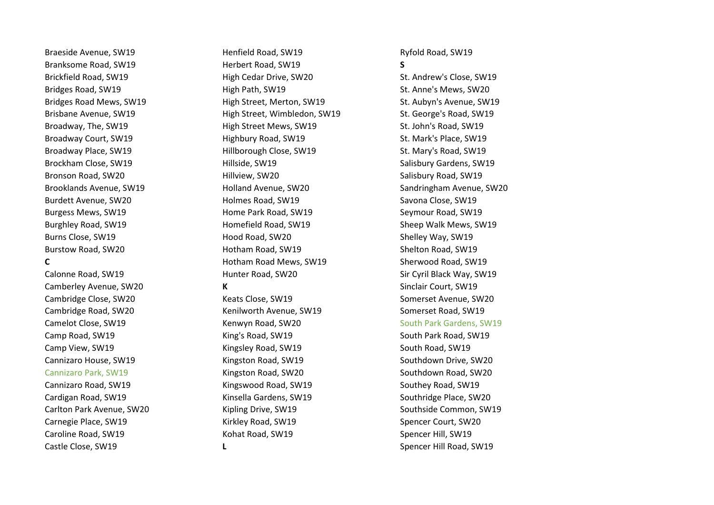Braeside Avenue, SW19 **Reneable State Henfield Road, SW19** Ryfold Road, SW19

Cambridge Close, SW20 Keats Close, SW19 Somerset Avenue, SW20 Cambridge Road, SW20 Kenilworth Avenue, SW19 Somerset Road, SW19 Camp Road, SW19 King's Road, SW19 South Park Road, SW19 Camp View, SW19 South Road, SW19 Road, SW19 South Road, SW19 South Road, SW19 Cannizaro House, SW19 Kingston Road, SW19 Southdown Drive, SW20 Cannizaro Park, SW19 Kingston Road, SW20 Southdown Road, SW20 Cannizaro Road, SW19 Kingswood Road, SW19 Southey Road, SW19 Cardigan Road, SW19 Kinsella Gardens, SW19 Southridge Place, SW20 Carlton Park Avenue, SW20 Kipling Drive, SW19 Southside Common, SW19 Carnegie Place, SW19 Kirkley Road, SW19 Spencer Court, SW20 Caroline Road, SW19 Kohat Road, SW19 Spencer Hill, SW19 Castle Close, SW19 **L** Castle Close, SW19 **L** Spencer Hill Road, SW19

Branksome Road, SW19 Herbert Road, SW19 **S** Brickfield Road, SW19 **High Cedar Drive, SW20** St. Andrew's Close, SW19 Bridges Road, SW19 St. Anne's Mews, SW20 (Bigh Path, SW19 St. Anne's Mews, SW20 Bridges Road Mews, SW19 **High Street, Merton, SW19** St. Aubyn's Avenue, SW19 Brisbane Avenue, SW19 High Street, Wimbledon, SW19 St. George's Road, SW19 Broadway, The, SW19 **High Street Mews, SW19** St. John's Road, SW19 Broadway Court, SW19 **Highbury Road, SW19** St. Mark's Place, SW19 Broadway Place, SW19 **Hillborough Close, SW19** St. Mary's Road, SW19 Brockham Close, SW19 Salisbury Gardens, SW19 Salisbury Gardens, SW19 Bronson Road, SW20 Hillview, SW20 Salisbury Road, SW19 Brooklands Avenue, SW19 Holland Avenue, SW20 Sandringham Avenue, SW20 Burdett Avenue, SW20 Savona Close, SW19 Holmes Road, SW19 Savona Close, SW19 Savona Close, SW19 Burgess Mews, SW19 Home Park Road, SW19 Seymour Road, SW19 Burghley Road, SW19 **Homefield Road, SW19** Sheep Walk Mews, SW19 Burns Close, SW19 **Burns Close, SW19 Hood Road, SW20** Shelley Way, SW19 Burstow Road, SW20 **Shelton Road, SW19** Hotham Road, SW19 Shelton Road, SW19 **C** Botham Road Mews, SW19 Sherwood Road, SW19 Calonne Road, SW19 Hunter Road, SW20 Sir Cyril Black Way, SW19 Camberley Avenue, SW20 **K K** Sinclair Court, SW19

Camelot Close, SW19 **Kenwyn Road, SW20** South Park Gardens, SW19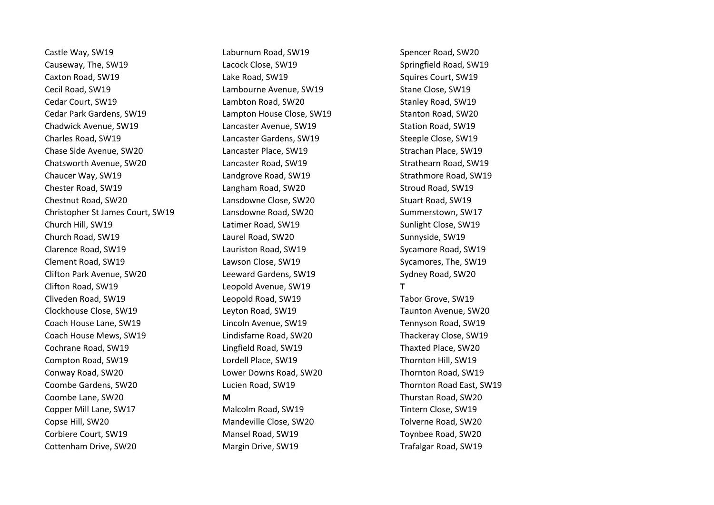Causeway, The, SW19 Lacock Close, SW19 Springfield Road, SW19 Caxton Road, SW19 **Caxton Road, SW19** Lake Road, SW19 **Squires Court, SW19** Squires Court, SW19 Cecil Road, SW19 Lambourne Avenue, SW19 Stane Close, SW19 Cedar Court, SW19 Lambton Road, SW20 Stanley Road, SW19 Cedar Park Gardens, SW19 The Stanton House Close, SW19 Stanton Road, SW20 Chadwick Avenue, SW19 Lancaster Avenue, SW19 Station Road, SW19 Charles Road, SW19 Lancaster Gardens, SW19 Steeple Close, SW19 Chase Side Avenue, SW20 Lancaster Place, SW19 Strachan Place, SW19 Chatsworth Avenue, SW20 Lancaster Road, SW19 Strathearn Road, SW19 Chaucer Way, SW19 Landgrove Road, SW19 Strathmore Road, SW19 Chester Road, SW19 Langham Road, SW20 Stroud Road, SW19 Chestnut Road, SW20 Lansdowne Close, SW20 Stuart Road, SW19 Christopher St James Court, SW19 Lansdowne Road, SW20 Summerstown, SW17 Church Hill, SW19 Latimer Road, SW19 Sunlight Close, SW19 Church Road, SW19 Laurel Road, SW20 Sunnyside, SW19 Clarence Road, SW19 Lauriston Road, SW19 Sycamore Road, SW19 Clement Road, SW19 **Lawson Close, SW19** Clement Road, SW19 **Clement Road, SW19** Clifton Park Avenue, SW20 Leeward Gardens, SW19 Sydney Road, SW20 Clifton Road, SW19 Leopold Avenue, SW19 **T** Cliveden Road, SW19 Leopold Road, SW19 Tabor Grove, SW19 Clockhouse Close, SW19 Leyton Road, SW19 Taunton Avenue, SW20 Coach House Lane, SW19 Lincoln Avenue, SW19 Tennyson Road, SW19 Coach House Mews, SW19 Lindisfarne Road, SW20 Thackeray Close, SW19 Cochrane Road, SW19 Lingfield Road, SW19 Thaxted Place, SW20 Compton Road, SW19 Lordell Place, SW19 Thornton Hill, SW19 Conway Road, SW20 Lower Downs Road, SW20 Thornton Road, SW19 Coombe Gardens, SW20 Lucien Road, SW19 Thornton Road East, SW19 Coombe Lane, SW20 **M** Thurstan Road, SW20 Copper Mill Lane, SW17 Tintern Close, SW19 Malcolm Road, SW19 Tintern Close, SW19 Copse Hill, SW20 Mandeville Close, SW20 Tolverne Road, SW20 Corbiere Court, SW19 Mansel Road, SW19 Toynbee Road, SW20 Cottenham Drive, SW20 Margin Drive, SW19 Trafalgar Road, SW19

Castle Way, SW19 **Castle Way, SW19** Laburnum Road, SW19 Spencer Road, SW20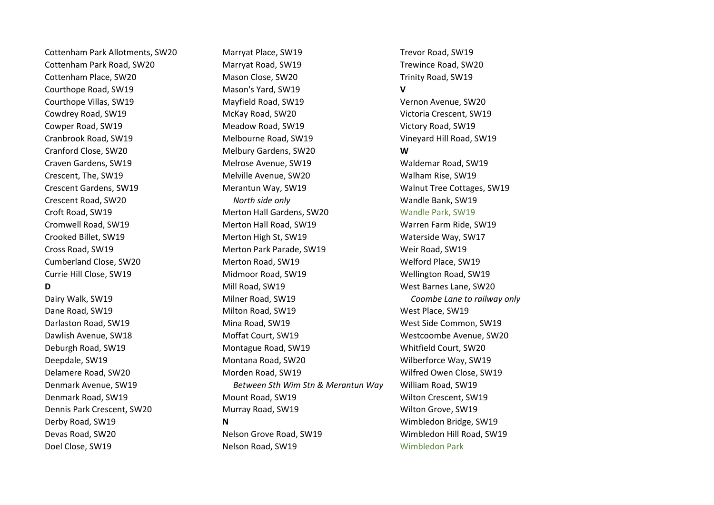Doel Close, SW19 Nelson Road, SW19 Wimbledon Park

Cottenham Park Allotments, SW20 Marryat Place, SW19 Trevor Road, SW19 Cottenham Park Road, SW20 Marryat Road, SW19 Trewince Road, SW20 Cottenham Place, SW20 Mason Close, SW20 Trinity Road, SW19 Courthope Road, SW19 Mason's Yard, SW19 **V** Courthope Villas, SW19 Mayfield Road, SW19 Vernon Avenue, SW20 Cowdrey Road, SW19 McKay Road, SW20 Victoria Crescent, SW19 Cowper Road, SW19 Meadow Road, SW19 Victory Road, SW19 Cranbrook Road, SW19 Melbourne Road, SW19 Vineyard Hill Road, SW19 Cranford Close, SW20 Melbury Gardens, SW20 **W** Craven Gardens, SW19 Melrose Avenue, SW19 Waldemar Road, SW19 Crescent, The, SW19 Melville Avenue, SW20 Walham Rise, SW19 Crescent Gardens, SW19 Merantun Way, SW19 Walnut Tree Cottages, SW19 Crescent Road, SW20 *North side only* Wandle Bank, SW19 Croft Road, SW19 Merton Hall Gardens, SW20 Wandle Park, SW19 Cromwell Road, SW19 Merton Hall Road, SW19 Warren Farm Ride, SW19 Crooked Billet, SW19 Merton High St, SW19 Waterside Way, SW17 Cross Road, SW19 Merton Park Parade, SW19 Weir Road, SW19 Cumberland Close, SW20 Merton Road, SW19 Welford Place, SW19 Currie Hill Close, SW19 Midmoor Road, SW19 Wellington Road, SW19 **D** Mill Road, SW19 West Barnes Lane, SW20 Dairy Walk, SW19 Milner Road, SW19 *Coombe Lane to railway only* Dane Road, SW19 Milton Road, SW19 Milton Road, SW19 West Place, SW19 Darlaston Road, SW19 Mina Road, SW19 West Side Common, SW19 Dawlish Avenue, SW18 Moffat Court, SW19 Westcoombe Avenue, SW20 Deburgh Road, SW19 Montague Road, SW19 Whitfield Court, SW20 Deepdale, SW19 Montana Road, SW20 Wilberforce Way, SW19 Delamere Road, SW20 Morden Road, SW19 Wilfred Owen Close, SW19 Denmark Avenue, SW19 *Between Sth Wim Stn & Merantun Way* William Road, SW19 Denmark Road, SW19 Mount Road, SW19 Wilton Crescent, SW19 Dennis Park Crescent, SW20 Murray Road, SW19 Wilton Grove, SW19 Derby Road, SW19 **N** Wimbledon Bridge, SW19 Devas Road, SW20 Nelson Grove Road, SW19 Wimbledon Hill Road, SW19